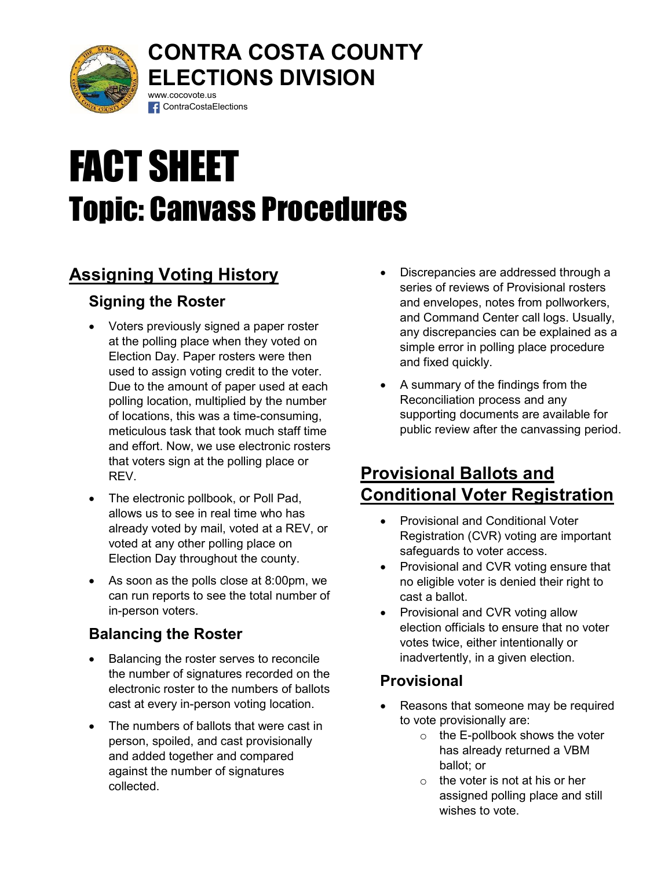

#### CONTRA COSTA COUNTY ELECTIONS DIVISION www.cocovote.us

# FACT SHEET Topic: Canvass Procedures

**f** ContraCostaElections

# Assigning Voting History

## Signing the Roster

- Voters previously signed a paper roster at the polling place when they voted on Election Day. Paper rosters were then used to assign voting credit to the voter. Due to the amount of paper used at each polling location, multiplied by the number of locations, this was a time-consuming, meticulous task that took much staff time and effort. Now, we use electronic rosters that voters sign at the polling place or REV.
- The electronic pollbook, or Poll Pad, allows us to see in real time who has already voted by mail, voted at a REV, or voted at any other polling place on Election Day throughout the county.
- As soon as the polls close at 8:00pm, we can run reports to see the total number of in-person voters.

## Balancing the Roster

- Balancing the roster serves to reconcile the number of signatures recorded on the electronic roster to the numbers of ballots cast at every in-person voting location.
- The numbers of ballots that were cast in person, spoiled, and cast provisionally and added together and compared against the number of signatures collected.
- Discrepancies are addressed through a series of reviews of Provisional rosters and envelopes, notes from pollworkers, and Command Center call logs. Usually, any discrepancies can be explained as a simple error in polling place procedure and fixed quickly.
- A summary of the findings from the Reconciliation process and any supporting documents are available for public review after the canvassing period.

## Provisional Ballots and Conditional Voter Registration

- Provisional and Conditional Voter Registration (CVR) voting are important safeguards to voter access.
- Provisional and CVR voting ensure that no eligible voter is denied their right to cast a ballot.
- Provisional and CVR voting allow election officials to ensure that no voter votes twice, either intentionally or inadvertently, in a given election.

#### **Provisional**

- Reasons that someone may be required to vote provisionally are:
	- o the E-pollbook shows the voter has already returned a VBM ballot; or
	- $\circ$  the voter is not at his or her assigned polling place and still wishes to vote.